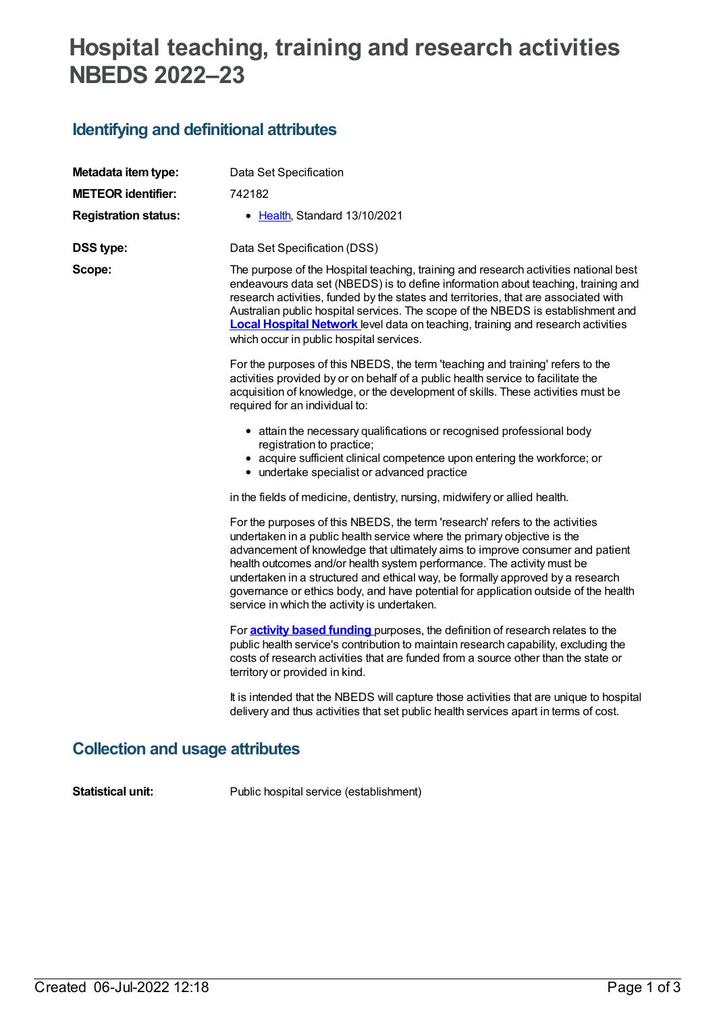# **Hospital teaching, training and research activities NBEDS 2022–23**

## **Identifying and definitional attributes**

| Metadata item type:         | Data Set Specification                                                                                                                                                                                                                                                                                                                                                                                                                                                                                                                       |
|-----------------------------|----------------------------------------------------------------------------------------------------------------------------------------------------------------------------------------------------------------------------------------------------------------------------------------------------------------------------------------------------------------------------------------------------------------------------------------------------------------------------------------------------------------------------------------------|
| <b>METEOR identifier:</b>   | 742182                                                                                                                                                                                                                                                                                                                                                                                                                                                                                                                                       |
| <b>Registration status:</b> | • Health, Standard 13/10/2021                                                                                                                                                                                                                                                                                                                                                                                                                                                                                                                |
| <b>DSS type:</b>            | Data Set Specification (DSS)                                                                                                                                                                                                                                                                                                                                                                                                                                                                                                                 |
| Scope:                      | The purpose of the Hospital teaching, training and research activities national best<br>endeavours data set (NBEDS) is to define information about teaching, training and<br>research activities, funded by the states and territories, that are associated with<br>Australian public hospital services. The scope of the NBEDS is establishment and<br><b>Local Hospital Network</b> level data on teaching, training and research activities<br>which occur in public hospital services.                                                   |
|                             | For the purposes of this NBEDS, the term 'teaching and training' refers to the<br>activities provided by or on behalf of a public health service to facilitate the<br>acquisition of knowledge, or the development of skills. These activities must be<br>required for an individual to:                                                                                                                                                                                                                                                     |
|                             | • attain the necessary qualifications or recognised professional body<br>registration to practice;<br>• acquire sufficient clinical competence upon entering the workforce; or<br>• undertake specialist or advanced practice                                                                                                                                                                                                                                                                                                                |
|                             | in the fields of medicine, dentistry, nursing, midwifery or allied health.                                                                                                                                                                                                                                                                                                                                                                                                                                                                   |
|                             | For the purposes of this NBEDS, the term 'research' refers to the activities<br>undertaken in a public health service where the primary objective is the<br>advancement of knowledge that ultimately aims to improve consumer and patient<br>health outcomes and/or health system performance. The activity must be<br>undertaken in a structured and ethical way, be formally approved by a research<br>governance or ethics body, and have potential for application outside of the health<br>service in which the activity is undertaken. |
|                             | For <b>activity based funding</b> purposes, the definition of research relates to the<br>public health service's contribution to maintain research capability, excluding the<br>costs of research activities that are funded from a source other than the state or<br>territory or provided in kind.                                                                                                                                                                                                                                         |
|                             | It is intended that the NBEDS will capture those activities that are unique to hospital<br>delivery and thus activities that set public health services apart in terms of cost.                                                                                                                                                                                                                                                                                                                                                              |

## **Collection and usage attributes**

**Statistical unit:** Public hospital service (establishment)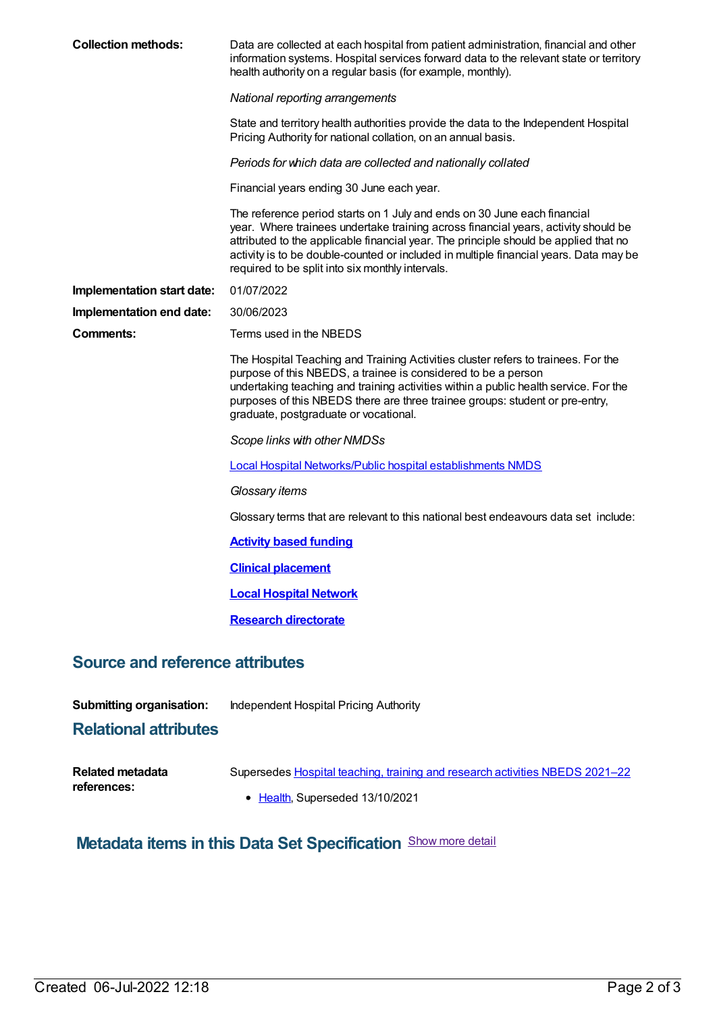| <b>Collection methods:</b>                                            | Data are collected at each hospital from patient administration, financial and other<br>information systems. Hospital services forward data to the relevant state or territory<br>health authority on a regular basis (for example, monthly).                                                                                                                                                       |  |
|-----------------------------------------------------------------------|-----------------------------------------------------------------------------------------------------------------------------------------------------------------------------------------------------------------------------------------------------------------------------------------------------------------------------------------------------------------------------------------------------|--|
|                                                                       | National reporting arrangements                                                                                                                                                                                                                                                                                                                                                                     |  |
|                                                                       | State and territory health authorities provide the data to the Independent Hospital<br>Pricing Authority for national collation, on an annual basis.                                                                                                                                                                                                                                                |  |
|                                                                       | Periods for which data are collected and nationally collated                                                                                                                                                                                                                                                                                                                                        |  |
|                                                                       | Financial years ending 30 June each year.                                                                                                                                                                                                                                                                                                                                                           |  |
|                                                                       | The reference period starts on 1 July and ends on 30 June each financial<br>year. Where trainees undertake training across financial years, activity should be<br>attributed to the applicable financial year. The principle should be applied that no<br>activity is to be double-counted or included in multiple financial years. Data may be<br>required to be split into six monthly intervals. |  |
| Implementation start date:                                            | 01/07/2022                                                                                                                                                                                                                                                                                                                                                                                          |  |
| Implementation end date:                                              | 30/06/2023                                                                                                                                                                                                                                                                                                                                                                                          |  |
| <b>Comments:</b>                                                      | Terms used in the NBEDS                                                                                                                                                                                                                                                                                                                                                                             |  |
|                                                                       | The Hospital Teaching and Training Activities cluster refers to trainees. For the<br>purpose of this NBEDS, a trainee is considered to be a person<br>undertaking teaching and training activities within a public health service. For the<br>purposes of this NBEDS there are three trainee groups: student or pre-entry,<br>graduate, postgraduate or vocational.                                 |  |
|                                                                       | Scope links with other NMDSs                                                                                                                                                                                                                                                                                                                                                                        |  |
|                                                                       | Local Hospital Networks/Public hospital establishments NMDS                                                                                                                                                                                                                                                                                                                                         |  |
|                                                                       | Glossary items                                                                                                                                                                                                                                                                                                                                                                                      |  |
|                                                                       | Glossary terms that are relevant to this national best endeavours data set include:                                                                                                                                                                                                                                                                                                                 |  |
|                                                                       | <b>Activity based funding</b>                                                                                                                                                                                                                                                                                                                                                                       |  |
|                                                                       | <b>Clinical placement</b>                                                                                                                                                                                                                                                                                                                                                                           |  |
|                                                                       | <b>Local Hospital Network</b>                                                                                                                                                                                                                                                                                                                                                                       |  |
|                                                                       | <b>Research directorate</b>                                                                                                                                                                                                                                                                                                                                                                         |  |
| <b>Source and reference attributes</b>                                |                                                                                                                                                                                                                                                                                                                                                                                                     |  |
| <b>Submitting organisation:</b>                                       | Independent Hospital Pricing Authority                                                                                                                                                                                                                                                                                                                                                              |  |
| <b>Relational attributes</b>                                          |                                                                                                                                                                                                                                                                                                                                                                                                     |  |
| <b>Related metadata</b><br>references:                                | Supersedes Hospital teaching, training and research activities NBEDS 2021-22<br>• Health, Superseded 13/10/2021                                                                                                                                                                                                                                                                                     |  |
| <b>Metadata items in this Data Set Specification</b> Show more detail |                                                                                                                                                                                                                                                                                                                                                                                                     |  |